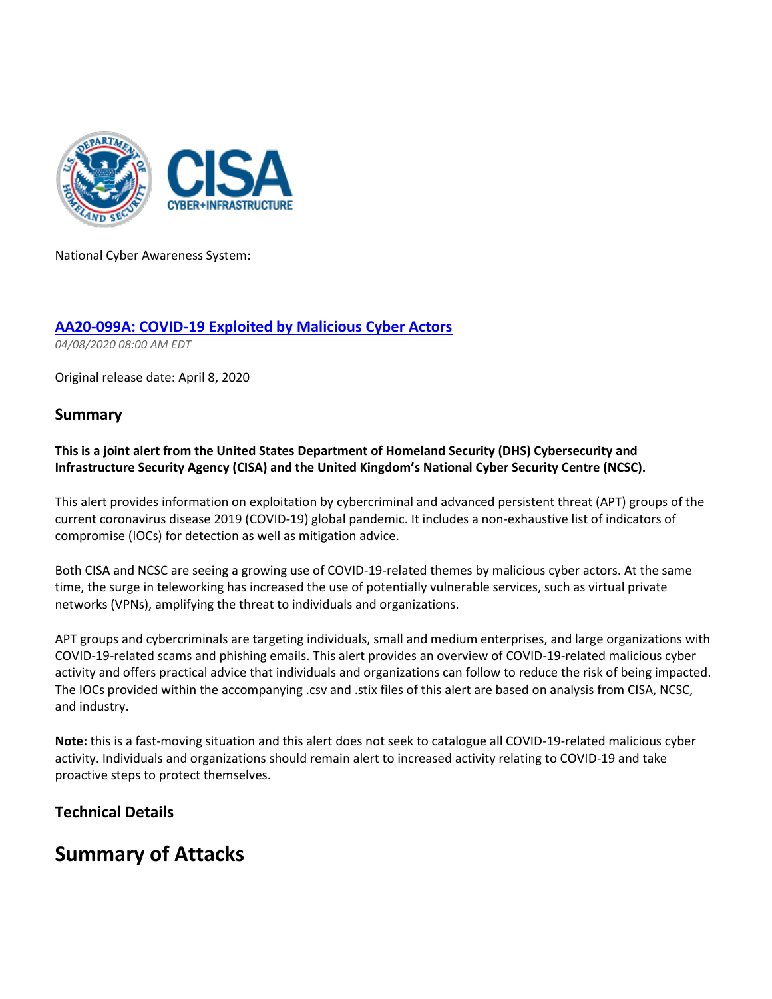

National Cyber Awareness System:

### **[AA20-099A: COVID-19 Exploited by Malicious Cyber Actors](https://protect-eu.mimecast.com/s/sNjiCQkkxTkmmY9txVdLd?domain=us-cert.gov)**

*04/08/2020 08:00 AM EDT* 

Original release date: April 8, 2020

### **Summary**

#### **This is a joint alert from the United States Department of Homeland Security (DHS) Cybersecurity and Infrastructure Security Agency (CISA) and the United Kingdom's National Cyber Security Centre (NCSC).**

This alert provides information on exploitation by cybercriminal and advanced persistent threat (APT) groups of the current coronavirus disease 2019 (COVID-19) global pandemic. It includes a non-exhaustive list of indicators of compromise (IOCs) for detection as well as mitigation advice.

Both CISA and NCSC are seeing a growing use of COVID-19-related themes by malicious cyber actors. At the same time, the surge in teleworking has increased the use of potentially vulnerable services, such as virtual private networks (VPNs), amplifying the threat to individuals and organizations.

APT groups and cybercriminals are targeting individuals, small and medium enterprises, and large organizations with COVID-19-related scams and phishing emails. This alert provides an overview of COVID-19-related malicious cyber activity and offers practical advice that individuals and organizations can follow to reduce the risk of being impacted. The IOCs provided within the accompanying .csv and .stix files of this alert are based on analysis from CISA, NCSC, and industry.

**Note:** this is a fast-moving situation and this alert does not seek to catalogue all COVID-19-related malicious cyber activity. Individuals and organizations should remain alert to increased activity relating to COVID-19 and take proactive steps to protect themselves.

### **Technical Details**

## **Summary of Attacks**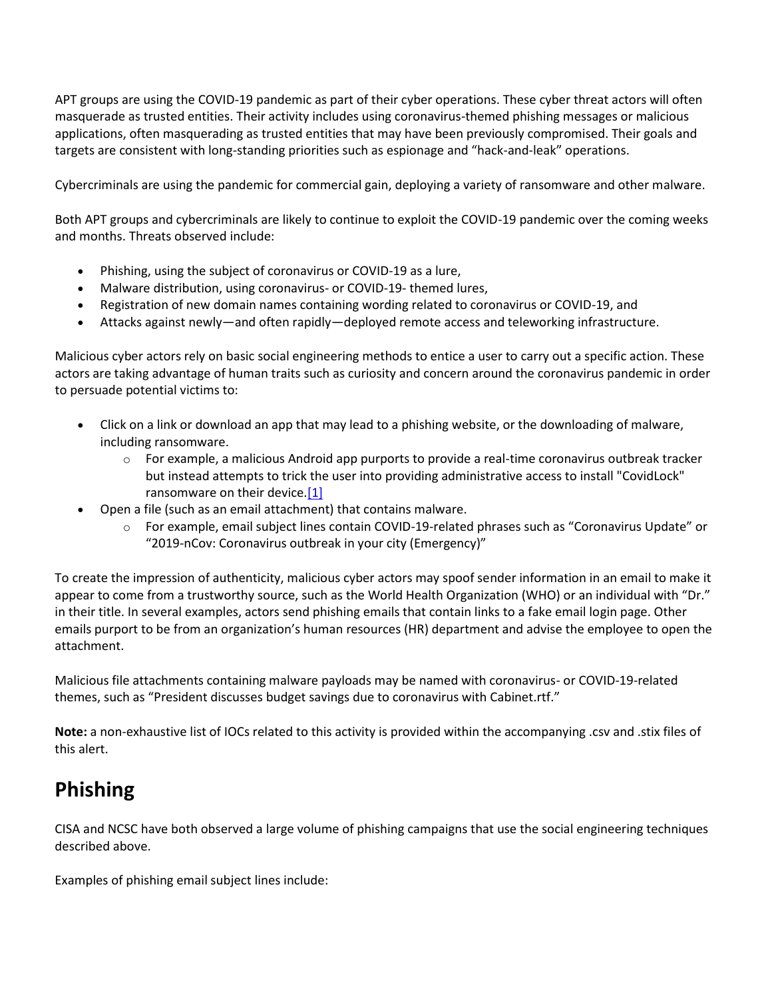APT groups are using the COVID-19 pandemic as part of their cyber operations. These cyber threat actors will often masquerade as trusted entities. Their activity includes using coronavirus-themed phishing messages or malicious applications, often masquerading as trusted entities that may have been previously compromised. Their goals and targets are consistent with long-standing priorities such as espionage and "hack-and-leak" operations.

Cybercriminals are using the pandemic for commercial gain, deploying a variety of ransomware and other malware.

Both APT groups and cybercriminals are likely to continue to exploit the COVID-19 pandemic over the coming weeks and months. Threats observed include:

- Phishing, using the subject of coronavirus or COVID-19 as a lure,
- Malware distribution, using coronavirus- or COVID-19- themed lures,
- Registration of new domain names containing wording related to coronavirus or COVID-19, and
- Attacks against newly—and often rapidly—deployed remote access and teleworking infrastructure.

Malicious cyber actors rely on basic social engineering methods to entice a user to carry out a specific action. These actors are taking advantage of human traits such as curiosity and concern around the coronavirus pandemic in order to persuade potential victims to:

- Click on a link or download an app that may lead to a phishing website, or the downloading of malware, including ransomware.
	- $\circ$  For example, a malicious Android app purports to provide a real-time coronavirus outbreak tracker but instead attempts to trick the user into providing administrative access to install "CovidLock" ransomware on their devic[e.\[1\]](https://protect-eu.mimecast.com/s/aqSVCRllycv88xQfNipUH?domain=techrepublic.com/)
- Open a file (such as an email attachment) that contains malware.
	- o For example, email subject lines contain COVID-19-related phrases such as "Coronavirus Update" or "2019-nCov: Coronavirus outbreak in your city (Emergency)"

To create the impression of authenticity, malicious cyber actors may spoof sender information in an email to make it appear to come from a trustworthy source, such as the World Health Organization (WHO) or an individual with "Dr." in their title. In several examples, actors send phishing emails that contain links to a fake email login page. Other emails purport to be from an organization's human resources (HR) department and advise the employee to open the attachment.

Malicious file attachments containing malware payloads may be named with coronavirus- or COVID-19-related themes, such as "President discusses budget savings due to coronavirus with Cabinet.rtf."

**Note:** a non-exhaustive list of IOCs related to this activity is provided within the accompanying .csv and .stix files of this alert.

# **Phishing**

CISA and NCSC have both observed a large volume of phishing campaigns that use the social engineering techniques described above.

Examples of phishing email subject lines include: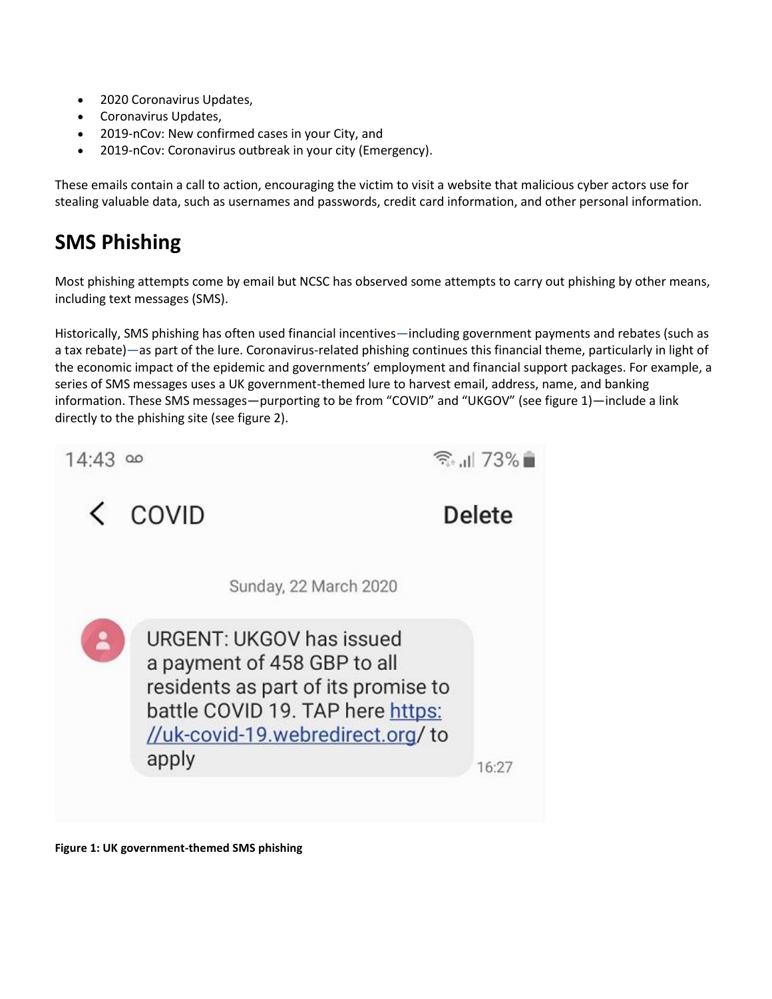- 2020 Coronavirus Updates,
- Coronavirus Updates,
- 2019-nCov: New confirmed cases in your City, and
- 2019-nCov: Coronavirus outbreak in your city (Emergency).

These emails contain a call to action, encouraging the victim to visit a website that malicious cyber actors use for stealing valuable data, such as usernames and passwords, credit card information, and other personal information.

# **SMS Phishing**

Most phishing attempts come by email but NCSC has observed some attempts to carry out phishing by other means, including text messages (SMS).

Historically, SMS phishing has often used financial incentives—including government payments and rebates (such as a tax rebate)—as part of the lure. Coronavirus-related phishing continues this financial theme, particularly in light of the economic impact of the epidemic and governments' employment and financial support packages. For example, a series of SMS messages uses a UK government-themed lure to harvest email, address, name, and banking information. These SMS messages—purporting to be from "COVID" and "UKGOV" (see figure 1)—include a link directly to the phishing site (see figure 2).

| 14:43 | $\Omega$                                                                                                                                                                        | $\widehat{\mathbb{R}}$ at 73% |  |
|-------|---------------------------------------------------------------------------------------------------------------------------------------------------------------------------------|-------------------------------|--|
| ✓     | COVID                                                                                                                                                                           | Delete                        |  |
|       | Sunday, 22 March 2020                                                                                                                                                           |                               |  |
| 2     | URGENT: UKGOV has issued<br>a payment of 458 GBP to all<br>residents as part of its promise to<br>battle COVID 19. TAP here https:<br>//uk-covid-19.webredirect.org/to<br>apply | 16:27                         |  |

**Figure 1: UK government-themed SMS phishing**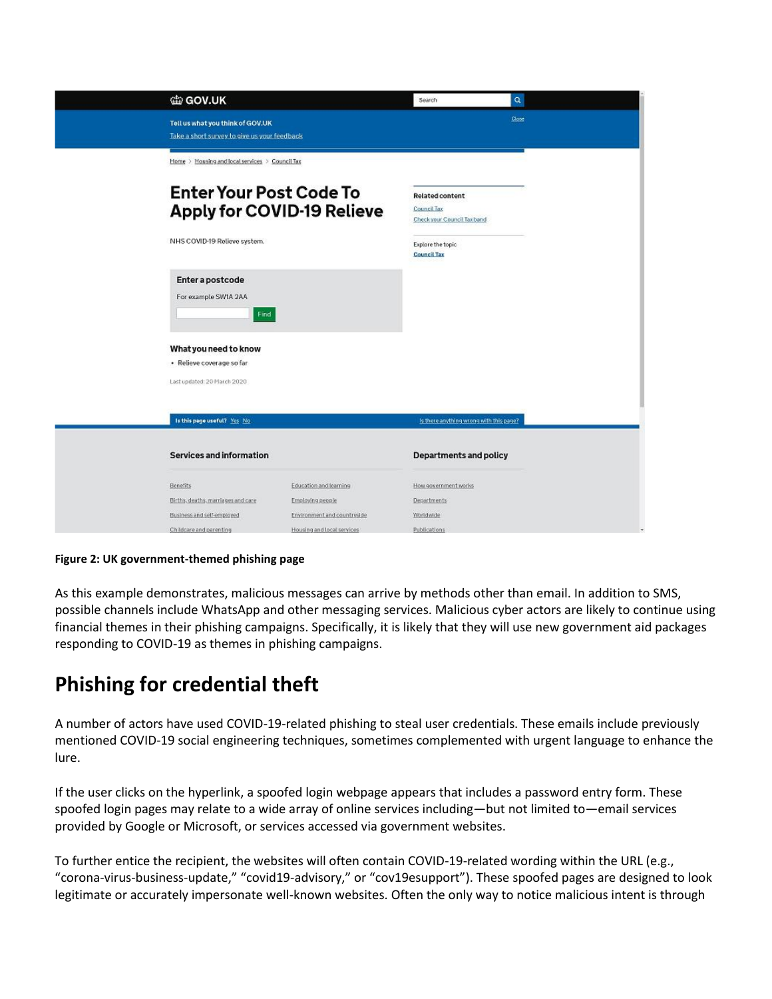| 曲 GOV.UK                                                                                            |                             | Search                                                                                                          | $\alpha$ |  |
|-----------------------------------------------------------------------------------------------------|-----------------------------|-----------------------------------------------------------------------------------------------------------------|----------|--|
| Tell us what you think of GOV.UK<br>Take a short survey to give us your feedback                    |                             |                                                                                                                 | Qoz      |  |
| Home > Housing and local services > Council Tax                                                     |                             |                                                                                                                 |          |  |
| <b>Enter Your Post Code To</b><br><b>Apply for COVID-19 Relieve</b><br>NHS COVID-19 Relieve system. |                             | <b>Related content</b><br>Council Tax<br>Check your Council Tax band<br>Explore the topic<br><b>Council Tax</b> |          |  |
| Enter a postcode<br>For example SW1A 2AA<br>Find                                                    |                             |                                                                                                                 |          |  |
| What you need to know                                                                               |                             |                                                                                                                 |          |  |
| · Relieve coverage so far<br>Last updated: 20 March 2020                                            |                             |                                                                                                                 |          |  |
| Is this page useful? Yes No                                                                         |                             | Is there anything wrong with this page?                                                                         |          |  |
| <b>Services and information</b>                                                                     |                             | <b>Departments and policy</b>                                                                                   |          |  |
| <b>Benefits</b>                                                                                     | Education and learning      | How government works                                                                                            |          |  |
| Births, deaths, marriages and care                                                                  | Employing people            | Departments                                                                                                     |          |  |
| Business and self-employed                                                                          | Environment and countryside | Worldwide                                                                                                       |          |  |
| Childcare and parenting                                                                             | Housing and local services  | Publications                                                                                                    |          |  |

**Figure 2: UK government-themed phishing page** 

As this example demonstrates, malicious messages can arrive by methods other than email. In addition to SMS, possible channels include WhatsApp and other messaging services. Malicious cyber actors are likely to continue using financial themes in their phishing campaigns. Specifically, it is likely that they will use new government aid packages responding to COVID-19 as themes in phishing campaigns.

# **Phishing for credential theft**

A number of actors have used COVID-19-related phishing to steal user credentials. These emails include previously mentioned COVID-19 social engineering techniques, sometimes complemented with urgent language to enhance the lure.

If the user clicks on the hyperlink, a spoofed login webpage appears that includes a password entry form. These spoofed login pages may relate to a wide array of online services including—but not limited to—email services provided by Google or Microsoft, or services accessed via government websites.

To further entice the recipient, the websites will often contain COVID-19-related wording within the URL (e.g., "corona-virus-business-update," "covid19-advisory," or "cov19esupport"). These spoofed pages are designed to look legitimate or accurately impersonate well-known websites. Often the only way to notice malicious intent is through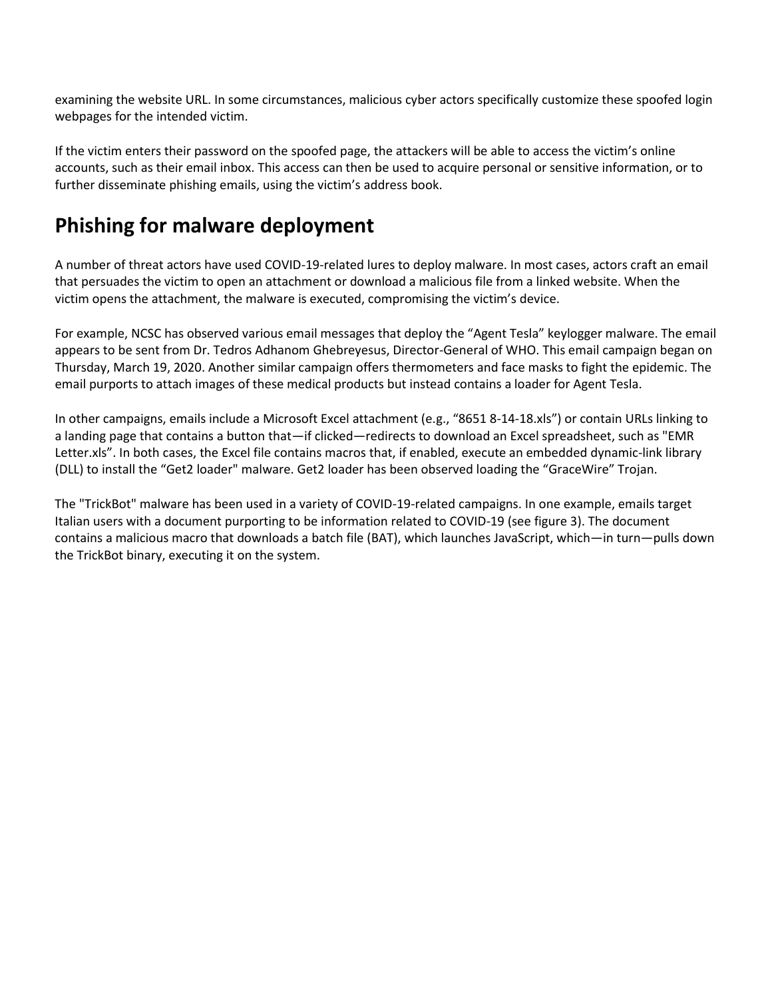examining the website URL. In some circumstances, malicious cyber actors specifically customize these spoofed login webpages for the intended victim.

If the victim enters their password on the spoofed page, the attackers will be able to access the victim's online accounts, such as their email inbox. This access can then be used to acquire personal or sensitive information, or to further disseminate phishing emails, using the victim's address book.

# **Phishing for malware deployment**

A number of threat actors have used COVID-19-related lures to deploy malware. In most cases, actors craft an email that persuades the victim to open an attachment or download a malicious file from a linked website. When the victim opens the attachment, the malware is executed, compromising the victim's device.

For example, NCSC has observed various email messages that deploy the "Agent Tesla" keylogger malware. The email appears to be sent from Dr. Tedros Adhanom Ghebreyesus, Director-General of WHO. This email campaign began on Thursday, March 19, 2020. Another similar campaign offers thermometers and face masks to fight the epidemic. The email purports to attach images of these medical products but instead contains a loader for Agent Tesla.

In other campaigns, emails include a Microsoft Excel attachment (e.g., "8651 8-14-18.xls") or contain URLs linking to a landing page that contains a button that—if clicked—redirects to download an Excel spreadsheet, such as "EMR Letter.xls". In both cases, the Excel file contains macros that, if enabled, execute an embedded dynamic-link library (DLL) to install the "Get2 loader" malware. Get2 loader has been observed loading the "GraceWire" Trojan.

The "TrickBot" malware has been used in a variety of COVID-19-related campaigns. In one example, emails target Italian users with a document purporting to be information related to COVID-19 (see figure 3). The document contains a malicious macro that downloads a batch file (BAT), which launches JavaScript, which—in turn—pulls down the TrickBot binary, executing it on the system.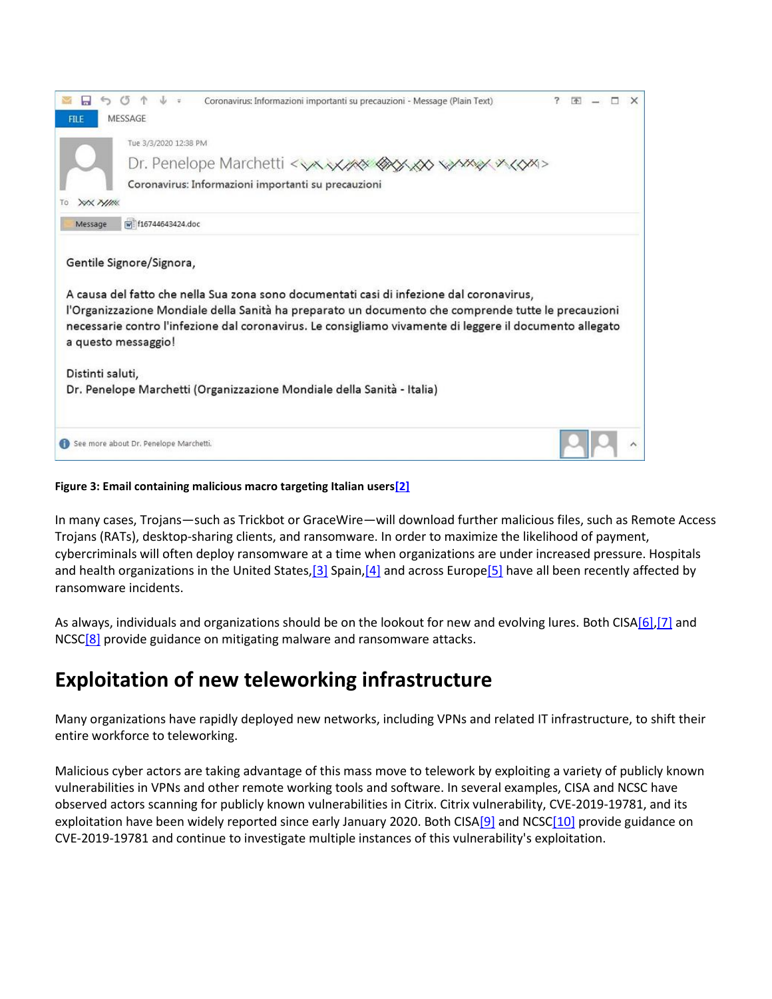

#### **Figure 3: Email containing malicious macro targeting Italian user[s\[2\]](https://protect-eu.mimecast.com/s/tNyHCVvvDcx11YXHyW852?domain=bleepingcomputer.com/)**

In many cases, Trojans—such as Trickbot or GraceWire—will download further malicious files, such as Remote Access Trojans (RATs), desktop-sharing clients, and ransomware. In order to maximize the likelihood of payment, cybercriminals will often deploy ransomware at a time when organizations are under increased pressure. Hospitals and health organizations in the United States, [3] Spain, [4] and across Europ[e\[5\]](https://protect-eu.mimecast.com/s/j_8KCY77JTLPPwgFZuTRR?domain=bleepingcomputer.com/) have all been recently affected by ransomware incidents.

As always, individuals and organizations should be on the lookout for new and evolving lures. Both CIS[A\[6\]](https://protect-eu.mimecast.com/s/ECkFCZ88Kc5yy0xtXw9If?domain=us-cert.gov)[,\[7\]](https://protect-eu.mimecast.com/s/GrqBC166ohMKKlOiO8cRc?domain=us-cert.gov) and NCSC<sup>[8]</sup> provide guidance on mitigating malware and ransomware attacks.

## **Exploitation of new teleworking infrastructure**

Many organizations have rapidly deployed new networks, including VPNs and related IT infrastructure, to shift their entire workforce to teleworking.

Malicious cyber actors are taking advantage of this mass move to telework by exploiting a variety of publicly known vulnerabilities in VPNs and other remote working tools and software. In several examples, CISA and NCSC have observed actors scanning for publicly known vulnerabilities in Citrix. Citrix vulnerability, CVE-2019-19781, and its exploitation have been widely reported since early January 2020. Both CIS[A\[9\]](https://protect-eu.mimecast.com/s/iqwEC366qhpVVOxtpPBMl?domain=us-cert.gov) and NCS[C\[10\] p](https://protect-eu.mimecast.com/s/sZylC466rhBGGq6U5huGX?domain=ncsc.gov.uk)rovide guidance on CVE-2019-19781 and continue to investigate multiple instances of this vulnerability's exploitation.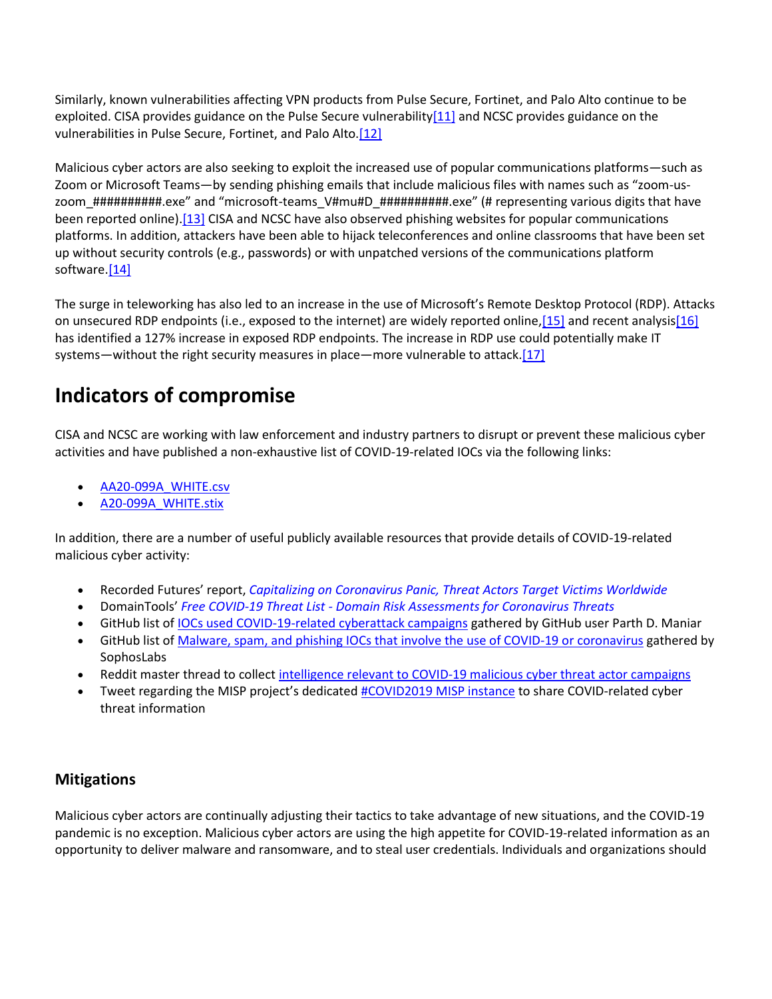Similarly, known vulnerabilities affecting VPN products from Pulse Secure, Fortinet, and Palo Alto continue to be exploited. CISA provides guidance on the Pulse Secure vulnerabilit[y\[11\]](https://protect-eu.mimecast.com/s/qK_MC577vTZOO2RfVCHCu?domain=us-cert.gov) and NCSC provides guidance on the vulnerabilities in Pulse Secure, Fortinet, and Palo Alto[.\[12\]](https://protect-eu.mimecast.com/s/qCpPC6WWwFrxxqMfQqKAU?domain=ncsc.gov.uk)

Malicious cyber actors are also seeking to exploit the increased use of popular communications platforms—such as Zoom or Microsoft Teams—by sending phishing emails that include malicious files with names such as "zoom-uszoom\_###########.exe" and "microsoft-teams\_V#mu#D\_##########.exe" (# representing various digits that have been reported online[\).\[13\]](https://protect-eu.mimecast.com/s/P2IJC799xFA99wyH1tkh_?domain=blog.checkpoint.com/) CISA and NCSC have also observed phishing websites for popular communications platforms. In addition, attackers have been able to hijack teleconferences and online classrooms that have been set up without security controls (e.g., passwords) or with unpatched versions of the communications platform software.<sup>[14]</sup>

The surge in teleworking has also led to an increase in the use of Microsoft's Remote Desktop Protocol (RDP). Attacks on unsecured RDP endpoints (i.e., exposed to the internet) are widely reported online[,\[15\]](https://protect-eu.mimecast.com/s/rS84C999zFkPPDxtVaHjh?domain=microsoft.com/) and recent analysi[s\[16\]](https://protect-eu.mimecast.com/s/cr9DC088ncGllp4t8dwko?domain=blog.reposify.com) has identified a 127% increase in exposed RDP endpoints. The increase in RDP use could potentially make IT systems—without the right security measures in place—more vulnerable to attack[.\[17\]](https://protect-eu.mimecast.com/s/q3b4CgppqcAnnDNH55r0t?domain=us-cert.gov)

# **Indicators of compromise**

CISA and NCSC are working with law enforcement and industry partners to disrupt or prevent these malicious cyber activities and have published a non-exhaustive list of COVID-19-related IOCs via the following links:

- [AA20-099A\\_WHITE.csv](https://protect-eu.mimecast.com/s/5-3wCjYYwtnkkVAtq-H_H?domain=us-cert.gov)
- [A20-099A\\_WHITE.stix](https://protect-eu.mimecast.com/s/iVv9Ck22xTOZZP4tj72D_?domain=us-cert.gov)

In addition, there are a number of useful publicly available resources that provide details of COVID-19-related malicious cyber activity:

- Recorded Futures' report, *[Capitalizing on Coronavirus Panic, Threat Actors Target Victims Worldwide](https://protect-eu.mimecast.com/s/4aT3ClRRys2DDjkfExbvS?domain=go.recordedfuture.com)*
- DomainTools' *[Free COVID-19 Threat List Domain Risk Assessments for Coronavirus Threats](https://protect-eu.mimecast.com/s/XbmvCmqqzSjGG96HW7lHP?domain=domaintools.com)*
- GitHub list of <u>IOCs used COVID-19-related cyberattack campaigns</u> gathered by GitHub user Parth D. Maniar
- GitHub list o[f Malware, spam, and phishing IOCs that involve the use of COVID-19 or coronavirus](https://protect-eu.mimecast.com/s/pGJyCoZZBTrJJQ8fvWbkp?domain=github.com) gathered by SophosLabs
- Reddit master thread to collect intelligence relevant to COVID-19 malicious cyber threat actor campaigns
- Tweet regarding the MISP project's dedicated [#COVID2019 MISP instance](https://protect-eu.mimecast.com/s/JnAoCqQQEh8GGVRSPZPFr?domain=twitter.com) to share COVID-related cyber threat information

## **Mitigations**

Malicious cyber actors are continually adjusting their tactics to take advantage of new situations, and the COVID-19 pandemic is no exception. Malicious cyber actors are using the high appetite for COVID-19-related information as an opportunity to deliver malware and ransomware, and to steal user credentials. Individuals and organizations should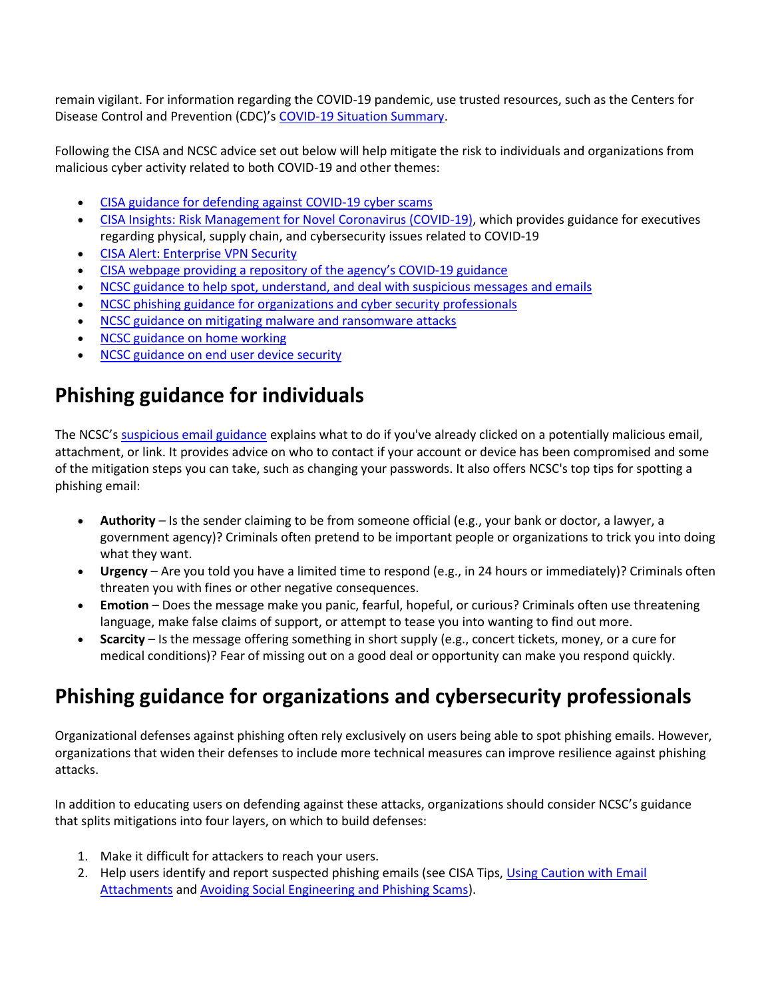remain vigilant. For information regarding the COVID-19 pandemic, use trusted resources, such as the Centers for Disease Control and Prevention (CDC)'s [COVID-19 Situation Summary.](https://protect-eu.mimecast.com/s/sEv9Cr22GT8XXW6SvWf2N?domain=cdc.gov)

Following the CISA and NCSC advice set out below will help mitigate the risk to individuals and organizations from malicious cyber activity related to both COVID-19 and other themes:

- [CISA guidance for defending against COVID-19 cyber scams](https://protect-eu.mimecast.com/s/QvilCvQQMh7ooR4fKbOVi?domain=us-cert.gov)
- [CISA Insights: Risk Management for Novel Coronavirus \(COVID-19\),](https://protect-eu.mimecast.com/s/bVNMCw00NIGXX2Pt7jGpD?domain=cisa.gov) which provides guidance for executives regarding physical, supply chain, and cybersecurity issues related to COVID-19
- [CISA Alert: Enterprise VPN Security](https://protect-eu.mimecast.com/s/g1ZzCx660h1KKzBtpDGRY?domain=us-cert.gov)
- [CISA webpage providing a repository of](https://protect-eu.mimecast.com/s/GYq5Cyww4CrEEpJf3XALI?domain=cisa.gov) the agency's COVID-19 guidance
- [NCSC guidance to help spot, understand, and deal with suspicious messages and emails](https://protect-eu.mimecast.com/s/h_wGCz668hMvv7niPpSSy?domain=ncsc.gov.uk)
- [NCSC phishing guidance for organizations and cyber security professionals](https://protect-eu.mimecast.com/s/pra7CA66LhNMM8VH7zm-s?domain=ncsc.gov.uk)
- [NCSC guidance on mitigating malware and ransomware attacks](https://protect-eu.mimecast.com/s/J3Z2C288pcpAAg6tLXdQ6?domain=ncsc.gov.uk)
- [NCSC guidance on home working](https://protect-eu.mimecast.com/s/aHaoCBrrMF733yAfqGfCx?domain=ncsc.gov.uk)
- [NCSC guidance on end user device security](https://protect-eu.mimecast.com/s/CjhECDqqOS5QQyMtGVrqp?domain=ncsc.gov.uk)

# **Phishing guidance for individuals**

The NCSC's [suspicious email guidance](https://protect-eu.mimecast.com/s/h_wGCz668hMvv7niPpSSy?domain=ncsc.gov.uk) explains what to do if you've already clicked on a potentially malicious email, attachment, or link. It provides advice on who to contact if your account or device has been compromised and some of the mitigation steps you can take, such as changing your passwords. It also offers NCSC's top tips for spotting a phishing email:

- **Authority**  Is the sender claiming to be from someone official (e.g., your bank or doctor, a lawyer, a government agency)? Criminals often pretend to be important people or organizations to trick you into doing what they want.
- **Urgency**  Are you told you have a limited time to respond (e.g., in 24 hours or immediately)? Criminals often threaten you with fines or other negative consequences.
- **Emotion** Does the message make you panic, fearful, hopeful, or curious? Criminals often use threatening language, make false claims of support, or attempt to tease you into wanting to find out more.
- **Scarcity**  Is the message offering something in short supply (e.g., concert tickets, money, or a cure for medical conditions)? Fear of missing out on a good deal or opportunity can make you respond quickly.

# **Phishing guidance for organizations and cybersecurity professionals**

Organizational defenses against phishing often rely exclusively on users being able to spot phishing emails. However, organizations that widen their defenses to include more technical measures can improve resilience against phishing attacks.

In addition to educating users on defending against these attacks, organizations should consider NCSC's guidance that splits mitigations into four layers, on which to build defenses:

- 1. Make it difficult for attackers to reach your users.
- 2. Help users identify and report suspected phishing emails (see CISA Tips[, Using Caution with Email](https://protect-eu.mimecast.com/s/x3YDCEqqgS3KKYnfl0uNG?domain=us-cert.gov)  [Attachments](https://protect-eu.mimecast.com/s/x3YDCEqqgS3KKYnfl0uNG?domain=us-cert.gov) and [Avoiding Social Engineering and Phishing Scams\)](https://protect-eu.mimecast.com/s/pDuQCGRRks1oo6qt3tez9?domain=us-cert.gov).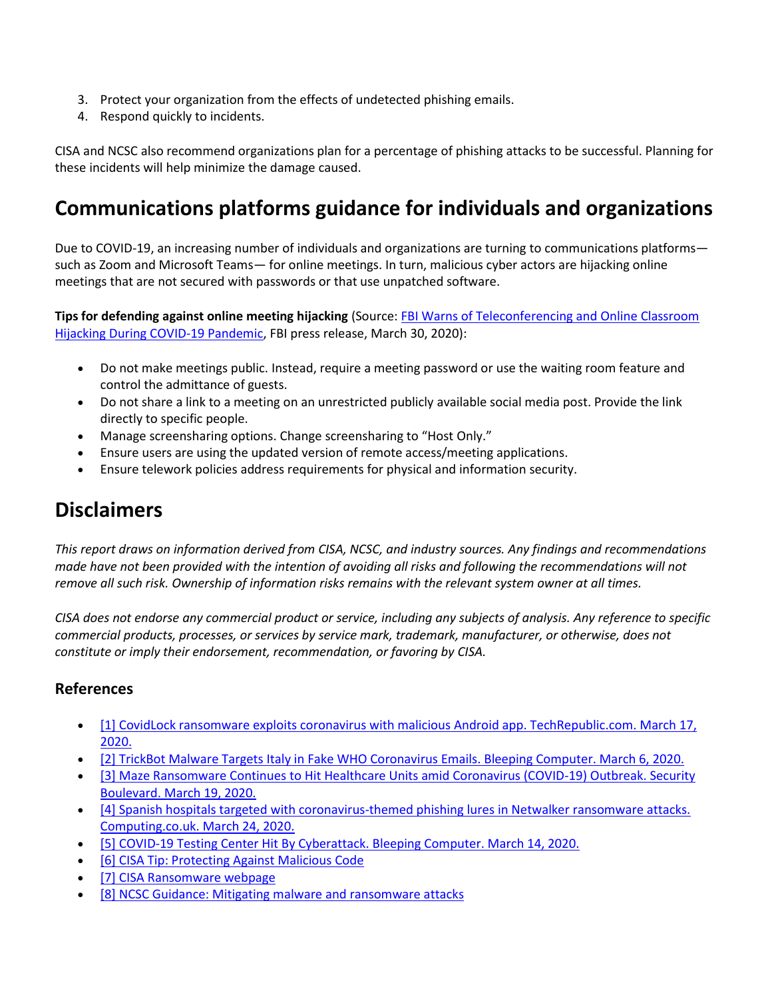- 3. Protect your organization from the effects of undetected phishing emails.
- 4. Respond quickly to incidents.

CISA and NCSC also recommend organizations plan for a percentage of phishing attacks to be successful. Planning for these incidents will help minimize the damage caused.

# **Communications platforms guidance for individuals and organizations**

Due to COVID-19, an increasing number of individuals and organizations are turning to communications platforms such as Zoom and Microsoft Teams— for online meetings. In turn, malicious cyber actors are hijacking online meetings that are not secured with passwords or that use unpatched software.

**Tips for defending against online meeting hijacking** (Source: [FBI Warns of Teleconferencing and Online Classroom](https://protect-eu.mimecast.com/s/WCKEC833ys6xxEQSlxu4i?domain=fbi.gov)  [Hijacking During COVID-19 Pandemic,](https://protect-eu.mimecast.com/s/WCKEC833ys6xxEQSlxu4i?domain=fbi.gov) FBI press release, March 30, 2020):

- Do not make meetings public. Instead, require a meeting password or use the waiting room feature and control the admittance of guests.
- Do not share a link to a meeting on an unrestricted publicly available social media post. Provide the link directly to specific people.
- Manage screensharing options. Change screensharing to "Host Only."
- Ensure users are using the updated version of remote access/meeting applications.
- Ensure telework policies address requirements for physical and information security.

## **Disclaimers**

*This report draws on information derived from CISA, NCSC, and industry sources. Any findings and recommendations made have not been provided with the intention of avoiding all risks and following the recommendations will not remove all such risk. Ownership of information risks remains with the relevant system owner at all times.*

*CISA does not endorse any commercial product or service, including any subjects of analysis. Any reference to specific commercial products, processes, or services by service mark, trademark, manufacturer, or otherwise, does not constitute or imply their endorsement, recommendation, or favoring by CISA.*

### **References**

- [1] CovidLock ransomware exploits coronavirus with malicious Android app. TechRepublic.com. March 17, [2020.](https://protect-eu.mimecast.com/s/aqSVCRllycv88xQfNipUH?domain=techrepublic.com/)
- [\[2\] TrickBot Malware Targets Italy in Fake WHO Coronavirus Emails. Bleeping Computer. March 6, 2020.](https://protect-eu.mimecast.com/s/tNyHCVvvDcx11YXHyW852?domain=bleepingcomputer.com/)
- [3] Maze Ransomware Continues to Hit Healthcare Units amid Coronavirus (COVID-19) Outbreak. Security [Boulevard. March 19, 2020.](https://protect-eu.mimecast.com/s/Xie1CWPPEu5vvVxtn5TwF?domain=securityboulevard.com/)
- [4] Spanish hospitals targeted with coronavirus-themed phishing lures in Netwalker ransomware attacks. [Computing.co.uk. March 24, 2020.](https://protect-eu.mimecast.com/s/c9W_CXQQGhX33WGhm4RTT?domain=computing.co.uk)
- [\[5\] COVID-19 Testing Center Hit By Cyberattack. Bleeping Computer. March 14, 2020.](https://protect-eu.mimecast.com/s/j_8KCY77JTLPPwgFZuTRR?domain=bleepingcomputer.com/)
- [\[6\] CISA Tip: Protecting Against Malicious Code](https://protect-eu.mimecast.com/s/ECkFCZ88Kc5yy0xtXw9If?domain=us-cert.gov)
- [\[7\] CISA Ransomware webpage](https://protect-eu.mimecast.com/s/GrqBC166ohMKKlOiO8cRc?domain=us-cert.gov)
- [\[8\] NCSC Guidance: Mitigating malware and ransomware attacks](https://protect-eu.mimecast.com/s/J3Z2C288pcpAAg6tLXdQ6?domain=ncsc.gov.uk)